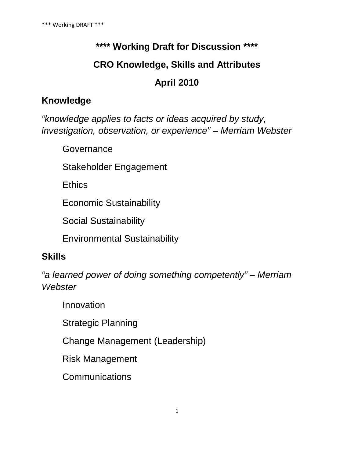# **\*\*\*\* Working Draft for Discussion \*\*\*\* CRO Knowledge, Skills and Attributes April 2010**

# **Knowledge**

*"knowledge applies to facts or ideas acquired by study, investigation, observation, or experience" – Merriam Webster*

Governance

Stakeholder Engagement

**Ethics** 

Economic Sustainability

Social Sustainability

Environmental Sustainability

# **Skills**

*"a learned power of doing something competently" – Merriam Webster*

Innovation

Strategic Planning

Change Management (Leadership)

Risk Management

**Communications**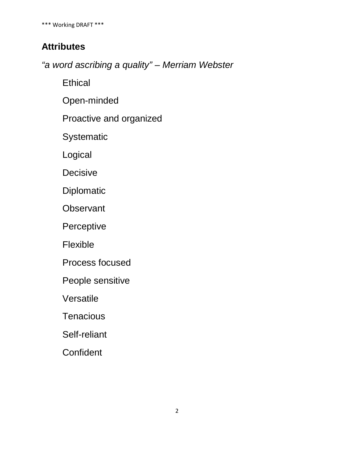\*\*\* Working DRAFT \*\*\*

## **Attributes**

*"a word ascribing a quality" – Merriam Webster*

**Ethical** 

Open-minded

Proactive and organized

Systematic

Logical

**Decisive** 

Diplomatic

**Observant** 

Perceptive

Flexible

Process focused

People sensitive

Versatile

**Tenacious** 

Self-reliant

**Confident**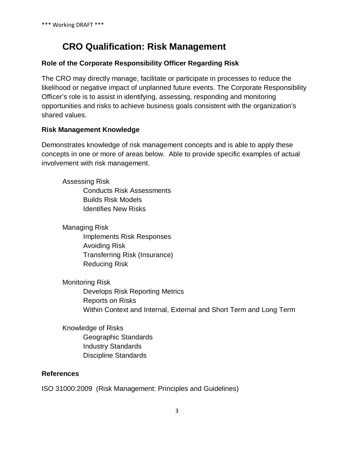# **CRO Qualification: Risk Management**

#### **Role of the Corporate Responsibility Officer Regarding Risk**

The CRO may directly manage, facilitate or participate in processes to reduce the likelihood or negative impact of unplanned future events. The Corporate Responsibility Officer's role is to assist in identifying, assessing, responding and monitoring opportunities and risks to achieve business goals consistent with the organization's shared values.

#### **Risk Management Knowledge**

Demonstrates knowledge of risk management concepts and is able to apply these concepts in one or more of areas below. Able to provide specific examples of actual involvement with risk management.

Assessing Risk Conducts Risk Assessments Builds Risk Models Identifies New Risks

Managing Risk Implements Risk Responses Avoiding Risk Transferring Risk (Insurance) Reducing Risk

Monitoring Risk Develops Risk Reporting Metrics Reports on Risks Within Context and Internal, External and Short Term and Long Term

Knowledge of Risks Geographic Standards Industry Standards Discipline Standards

#### **References**

ISO 31000:2009 (Risk Management: Principles and Guidelines)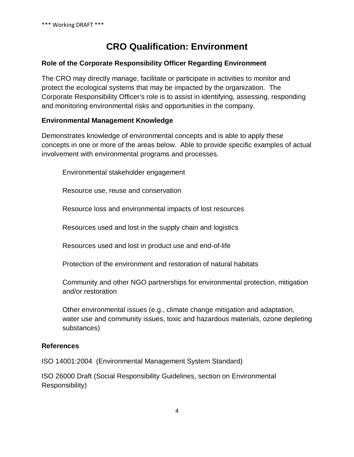# **CRO Qualification: Environment**

#### **Role of the Corporate Responsibility Officer Regarding Environment**

The CRO may directly manage, facilitate or participate in activities to monitor and protect the ecological systems that may be impacted by the organization. The Corporate Responsibility Officer's role is to assist in identifying, assessing, responding and monitoring environmental risks and opportunities in the company.

#### **Environmental Management Knowledge**

Demonstrates knowledge of environmental concepts and is able to apply these concepts in one or more of the areas below. Able to provide specific examples of actual involvement with environmental programs and processes.

Environmental stakeholder engagement

Resource use, reuse and conservation

Resource loss and environmental impacts of lost resources

Resources used and lost in the supply chain and logistics

Resources used and lost in product use and end-of-life

Protection of the environment and restoration of natural habitats

Community and other NGO partnerships for environmental protection, mitigation and/or restoration

Other environmental issues (e.g., climate change mitigation and adaptation, water use and community issues, toxic and hazardous materials, ozone depleting substances)

#### **References**

ISO 14001:2004 (Environmental Management System Standard)

ISO 26000 Draft (Social Responsibility Guidelines, section on Environmental Responsibility)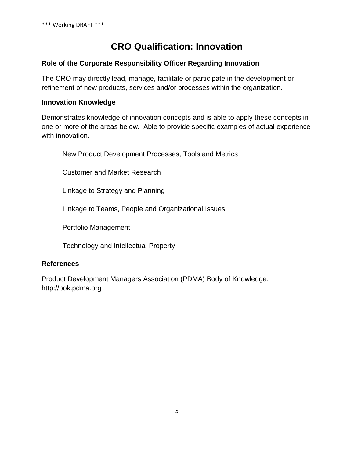# **CRO Qualification: Innovation**

#### **Role of the Corporate Responsibility Officer Regarding Innovation**

The CRO may directly lead, manage, facilitate or participate in the development or refinement of new products, services and/or processes within the organization.

#### **Innovation Knowledge**

Demonstrates knowledge of innovation concepts and is able to apply these concepts in one or more of the areas below. Able to provide specific examples of actual experience with innovation.

New Product Development Processes, Tools and Metrics

Customer and Market Research

Linkage to Strategy and Planning

Linkage to Teams, People and Organizational Issues

Portfolio Management

Technology and Intellectual Property

#### **References**

Product Development Managers Association (PDMA) Body of Knowledge, http://bok.pdma.org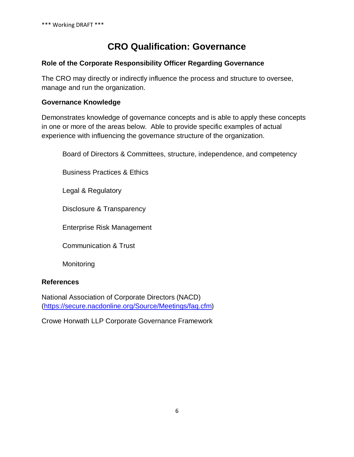# **CRO Qualification: Governance**

#### **Role of the Corporate Responsibility Officer Regarding Governance**

The CRO may directly or indirectly influence the process and structure to oversee, manage and run the organization.

#### **Governance Knowledge**

Demonstrates knowledge of governance concepts and is able to apply these concepts in one or more of the areas below. Able to provide specific examples of actual experience with influencing the governance structure of the organization.

Board of Directors & Committees, structure, independence, and competency

Business Practices & Ethics

Legal & Regulatory

Disclosure & Transparency

Enterprise Risk Management

Communication & Trust

**Monitoring** 

#### **References**

National Association of Corporate Directors (NACD) [\(https://secure.nacdonline.org/Source/Meetings/faq.cfm\)](https://secure.nacdonline.org/Source/Meetings/faq.cfm)

Crowe Horwath LLP Corporate Governance Framework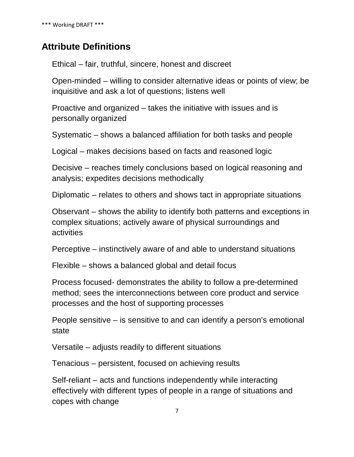## **Attribute Definitions**

Ethical – fair, truthful, sincere, honest and discreet

Open-minded – willing to consider alternative ideas or points of view; be inquisitive and ask a lot of questions; listens well

Proactive and organized – takes the initiative with issues and is personally organized

Systematic – shows a balanced affiliation for both tasks and people

Logical – makes decisions based on facts and reasoned logic

Decisive – reaches timely conclusions based on logical reasoning and analysis; expedites decisions methodically

Diplomatic – relates to others and shows tact in appropriate situations

Observant – shows the ability to identify both patterns and exceptions in complex situations; actively aware of physical surroundings and activities

Perceptive – instinctively aware of and able to understand situations

Flexible – shows a balanced global and detail focus

Process focused- demonstrates the ability to follow a pre-determined method; sees the interconnections between core product and service processes and the host of supporting processes

People sensitive – is sensitive to and can identify a person's emotional state

Versatile – adjusts readily to different situations

Tenacious – persistent, focused on achieving results

Self-reliant – acts and functions independently while interacting effectively with different types of people in a range of situations and copes with change